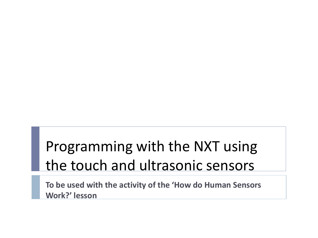## Programming with the NXT using the touch and ultrasonic sensors

**To be used with the activity of the 'How do Human Sensors Work?' lesson**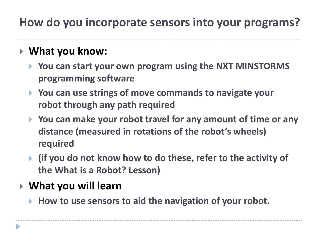### **How do you incorporate sensors into your programs?**

### **What you know:**

- **You can start your own program using the NXT MINSTORMS programming software**
- **You can use strings of move commands to navigate your robot through any path required**
- **You can make your robot travel for any amount of time or any distance (measured in rotations of the robot's wheels) required**
- **(if you do not know how to do these, refer to the activity of the What is a Robot? Lesson)**

#### **What you will learn**

**How to use sensors to aid the navigation of your robot.**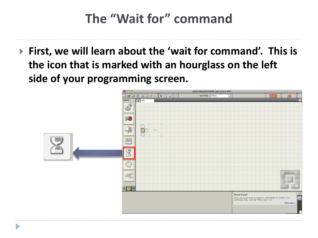## **The "Wait for" command**

 **First, we will learn about the 'wait for command'. This is the icon that is marked with an hourglass on the left side of your programming screen.**

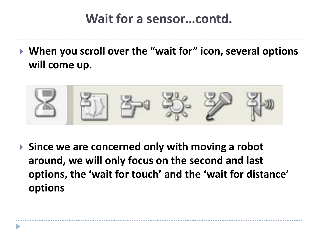### **Wait for a sensor…contd.**

 **When you scroll over the "wait for" icon, several options will come up.** 



 **Since we are concerned only with moving a robot around, we will only focus on the second and last options, the 'wait for touch' and the 'wait for distance' options**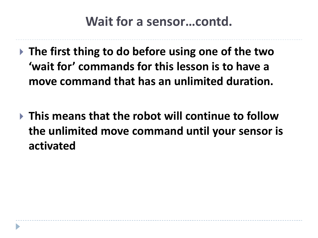### **Wait for a sensor…contd.**

- **The first thing to do before using one of the two 'wait for' commands for this lesson is to have a move command that has an unlimited duration.**
- **This means that the robot will continue to follow the unlimited move command until your sensor is activated**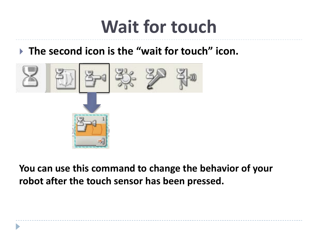# **Wait for touch**

#### **The second icon is the "wait for touch" icon.**



**You can use this command to change the behavior of your robot after the touch sensor has been pressed.**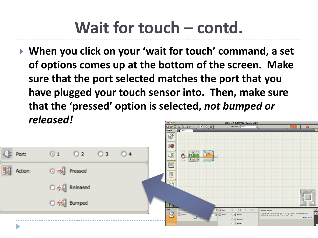# **Wait for touch – contd.**

 **When you click on your 'wait for touch' command, a set of options comes up at the bottom of the screen. Make sure that the port selected matches the port that you have plugged your touch sensor into. Then, make sure that the 'pressed' option is selected,** *not bumped or released!* **ECO MINIDETOPMS Education NY BADA**  $809E$ 

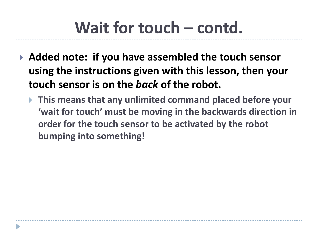## **Wait for touch – contd.**

- **Added note: if you have assembled the touch sensor using the instructions given with this lesson, then your touch sensor is on the** *back* **of the robot.** 
	- **This means that any unlimited command placed before your 'wait for touch' must be moving in the backwards direction in order for the touch sensor to be activated by the robot bumping into something!**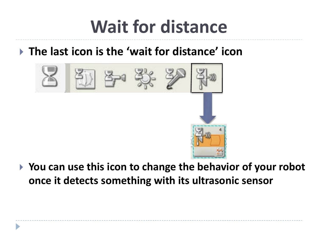# **Wait for distance**

### **The last icon is the 'wait for distance' icon**



 **You can use this icon to change the behavior of your robot once it detects something with its ultrasonic sensor**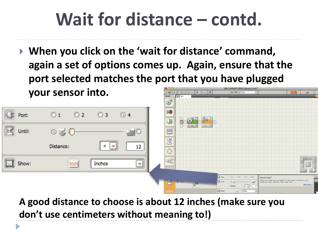# **Wait for distance – contd.**

 **When you click on the 'wait for distance' command, again a set of options comes up. Again, ensure that the port selected matches the port that you have plugged your sensor into.**  $RQQ|E$ 白山人



**A good distance to choose is about 12 inches (make sure you don't use centimeters without meaning to!)**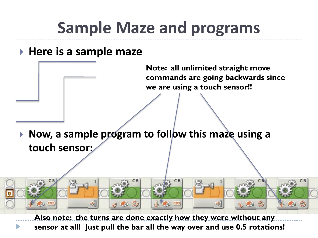## **Sample Maze and programs**

#### **Here is a sample maze**

-21

 $\infty$ 

**Note: all unlimited straight move commands are going backwards since we are using a touch sensor!!**

 **Now, a sample program to follow this maze using a touch sensor:** 

**Also note: the turns are done exactly how they were without any sensor at all! Just pull the bar all the way over and use 0.5 rotations!**

 $\Box$   $\odot$   $\infty$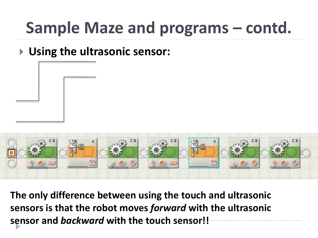## **Sample Maze and programs – contd.**

### **Using the ultrasonic sensor:**



**The only difference between using the touch and ultrasonic sensors is that the robot moves** *forward* **with the ultrasonic sensor and** *backward* **with the touch sensor!!**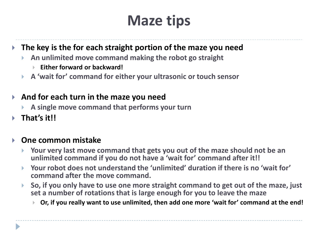## **Maze tips**

#### **The key is the for each straight portion of the maze you need**

- **An unlimited move command making the robot go straight**
	- **Either forward or backward!**
- **A 'wait for' command for either your ultrasonic or touch sensor**

#### **And for each turn in the maze you need**

- **A single move command that performs your turn**
- **That's it!!**

#### **One common mistake**

- **Your very last move command that gets you out of the maze should not be an unlimited command if you do not have a 'wait for' command after it!!**
- **Your robot does not understand the 'unlimited' duration if there is no 'wait for' command after the move command.**
- **So, if you only have to use one more straight command to get out of the maze, just set a number of rotations that is large enough for you to leave the maze**
	- **Or, if you really want to use unlimited, then add one more 'wait for' command at the end!**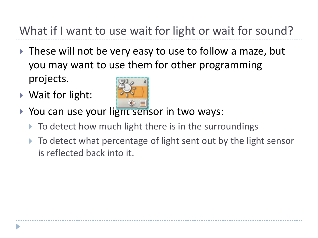What if I want to use wait for light or wait for sound?

- ▶ These will not be very easy to use to follow a maze, but you may want to use them for other programming projects.
- ▶ Wait for light:



- ▶ You can use your light sensor in two ways:
	- To detect how much light there is in the surroundings
	- ▶ To detect what percentage of light sent out by the light sensor is reflected back into it.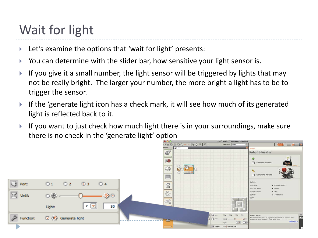## Wait for light

- ▶ Let's examine the options that 'wait for light' presents:
- You can determine with the slider bar, how sensitive your light sensor is.
- If you give it a small number, the light sensor will be triggered by lights that may not be really bright. The larger your number, the more bright a light has to be to trigger the sensor.
- If the 'generate light icon has a check mark, it will see how much of its generated light is reflected back to it.
- If you want to just check how much light there is in your surroundings, make sure there is no check in the 'generate light' option

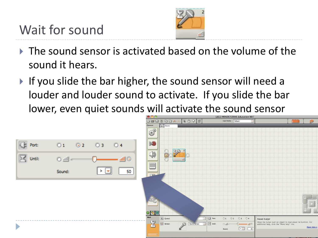

- $\triangleright$  The sound sensor is activated based on the volume of the sound it hears.
- If you slide the bar higher, the sound sensor will need a louder and louder sound to activate. If you slide the bar lower, even quiet sounds will activate the sound sensor